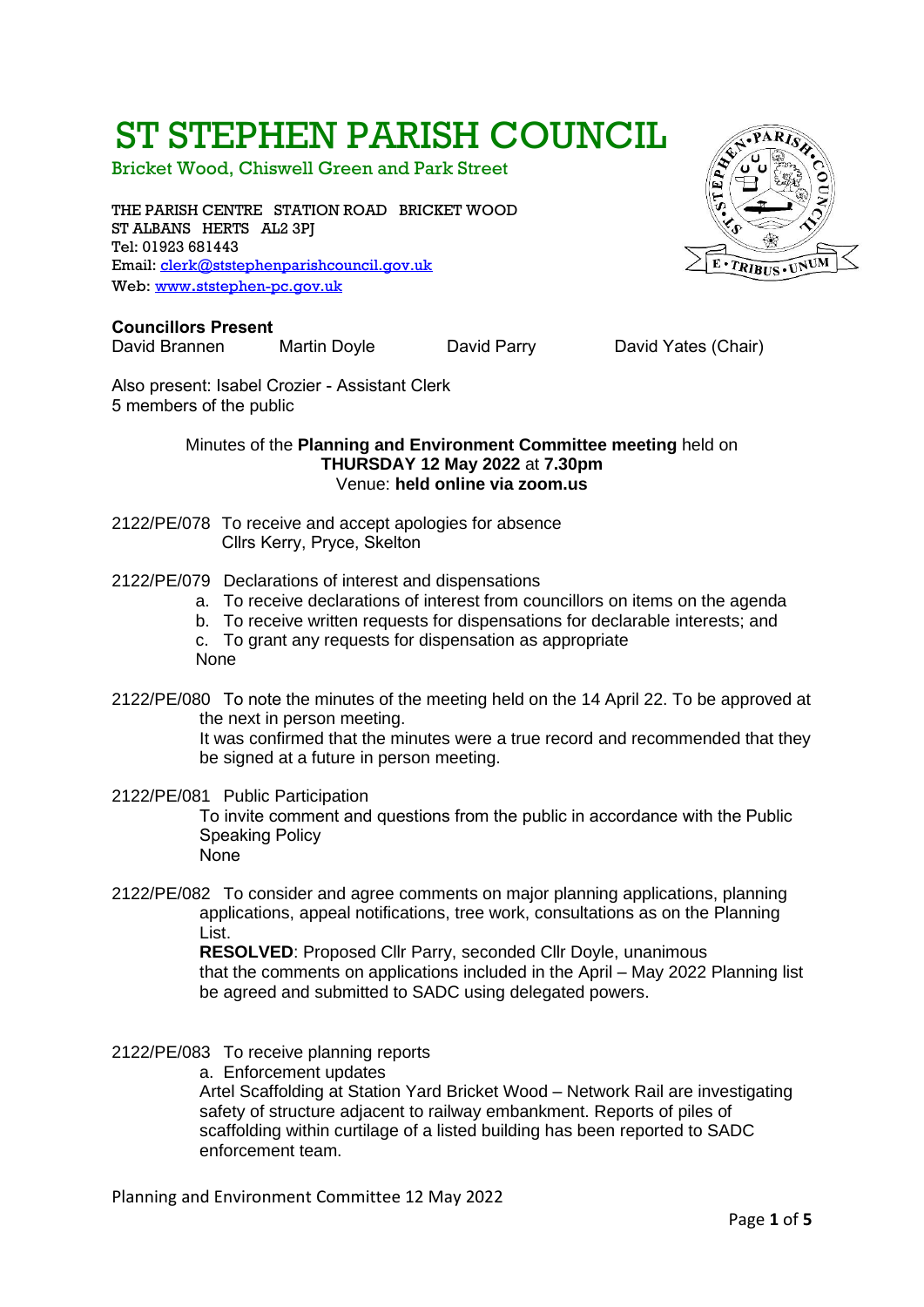# ST STEPHEN PARISH COUNCIL

Bricket Wood, Chiswell Green and Park Street

THE PARISH CENTRE STATION ROAD BRICKET WOOD ST ALBANS HERTS AL2 3PJ Tel: 01923 681443 Email: [clerk@ststephenparishcouncil.gov.uk](mailto:clerk@ststephenparishcouncil.gov.uk)  Web: www.[ststephen-pc.gov.uk](http://www.ststephen-pc.gov.uk/)

## **Councillors Present**

David Brannen Martin Doyle David Parry David Yates (Chair)

Also present: Isabel Crozier - Assistant Clerk 5 members of the public

#### Minutes of the **Planning and Environment Committee meeting** held on **THURSDAY 12 May 2022** at **7.30pm** Venue: **held online via zoom.us**

- 2122/PE/078 To receive and accept apologies for absence Cllrs Kerry, Pryce, Skelton
- 2122/PE/079 Declarations of interest and dispensations
	- a. To receive declarations of interest from councillors on items on the agenda
	- b. To receive written requests for dispensations for declarable interests; and
	- c. To grant any requests for dispensation as appropriate None
- 2122/PE/080 To note the minutes of the meeting held on the 14 April 22. To be approved at the next in person meeting. It was confirmed that the minutes were a true record and recommended that they be signed at a future in person meeting.
- 2122/PE/081 Public Participation To invite comment and questions from the public in accordance with the Public Speaking Policy None
- 2122/PE/082 To consider and agree comments on major planning applications, planning applications, appeal notifications, tree work, consultations as on the Planning List.

**RESOLVED**: Proposed Cllr Parry, seconded Cllr Doyle, unanimous that the comments on applications included in the April – May 2022 Planning list be agreed and submitted to SADC using delegated powers.

- 2122/PE/083 To receive planning reports
	- a. Enforcement updates

Artel Scaffolding at Station Yard Bricket Wood – Network Rail are investigating safety of structure adjacent to railway embankment. Reports of piles of scaffolding within curtilage of a listed building has been reported to SADC enforcement team.

Planning and Environment Committee 12 May 2022

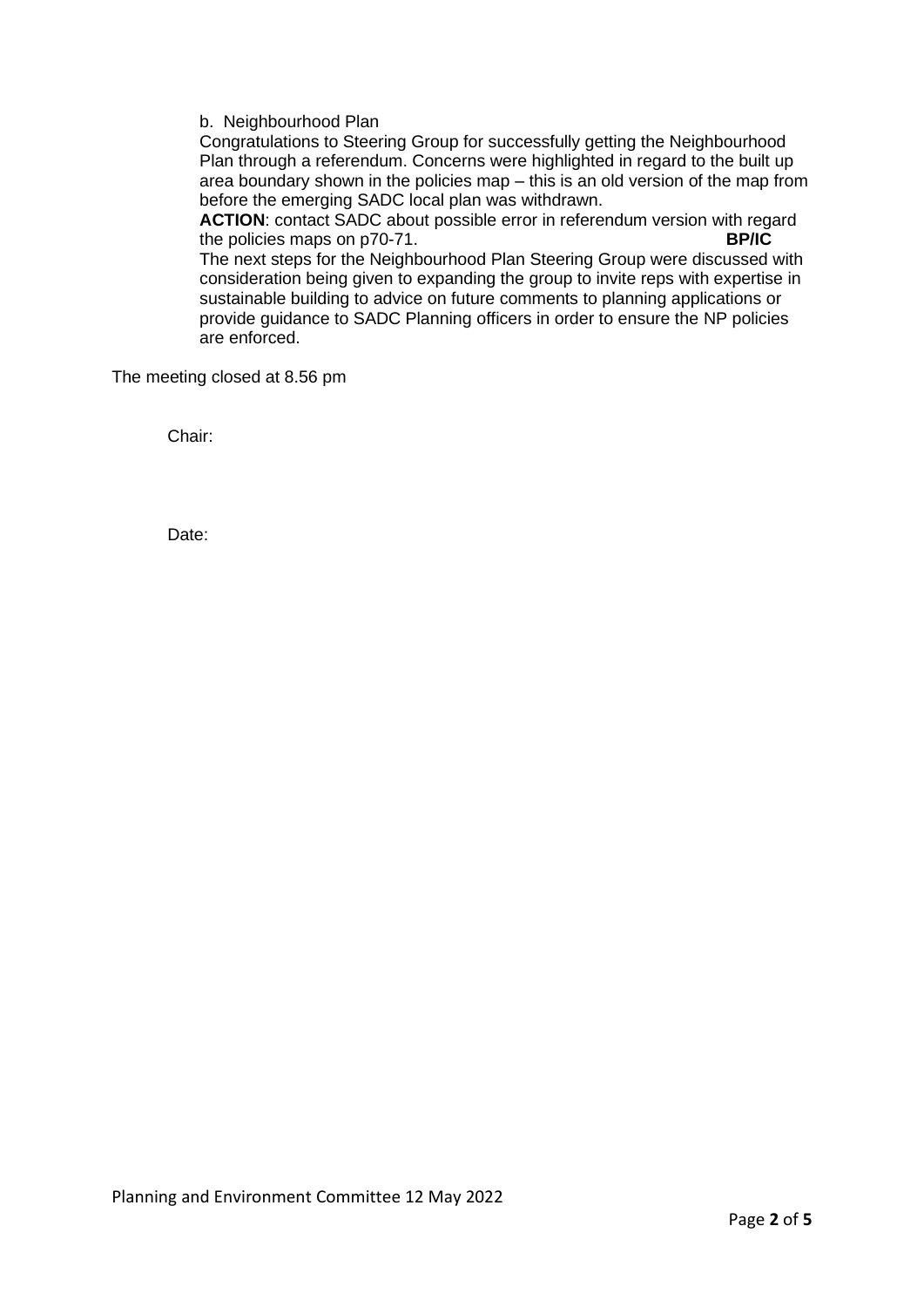b. Neighbourhood Plan

Congratulations to Steering Group for successfully getting the Neighbourhood Plan through a referendum. Concerns were highlighted in regard to the built up area boundary shown in the policies map – this is an old version of the map from before the emerging SADC local plan was withdrawn.

**ACTION**: contact SADC about possible error in referendum version with regard the policies maps on p70-71. The next steps for the Neighbourhood Plan Steering Group were discussed with consideration being given to expanding the group to invite reps with expertise in sustainable building to advice on future comments to planning applications or provide guidance to SADC Planning officers in order to ensure the NP policies

are enforced.

The meeting closed at 8.56 pm

Chair:

Date: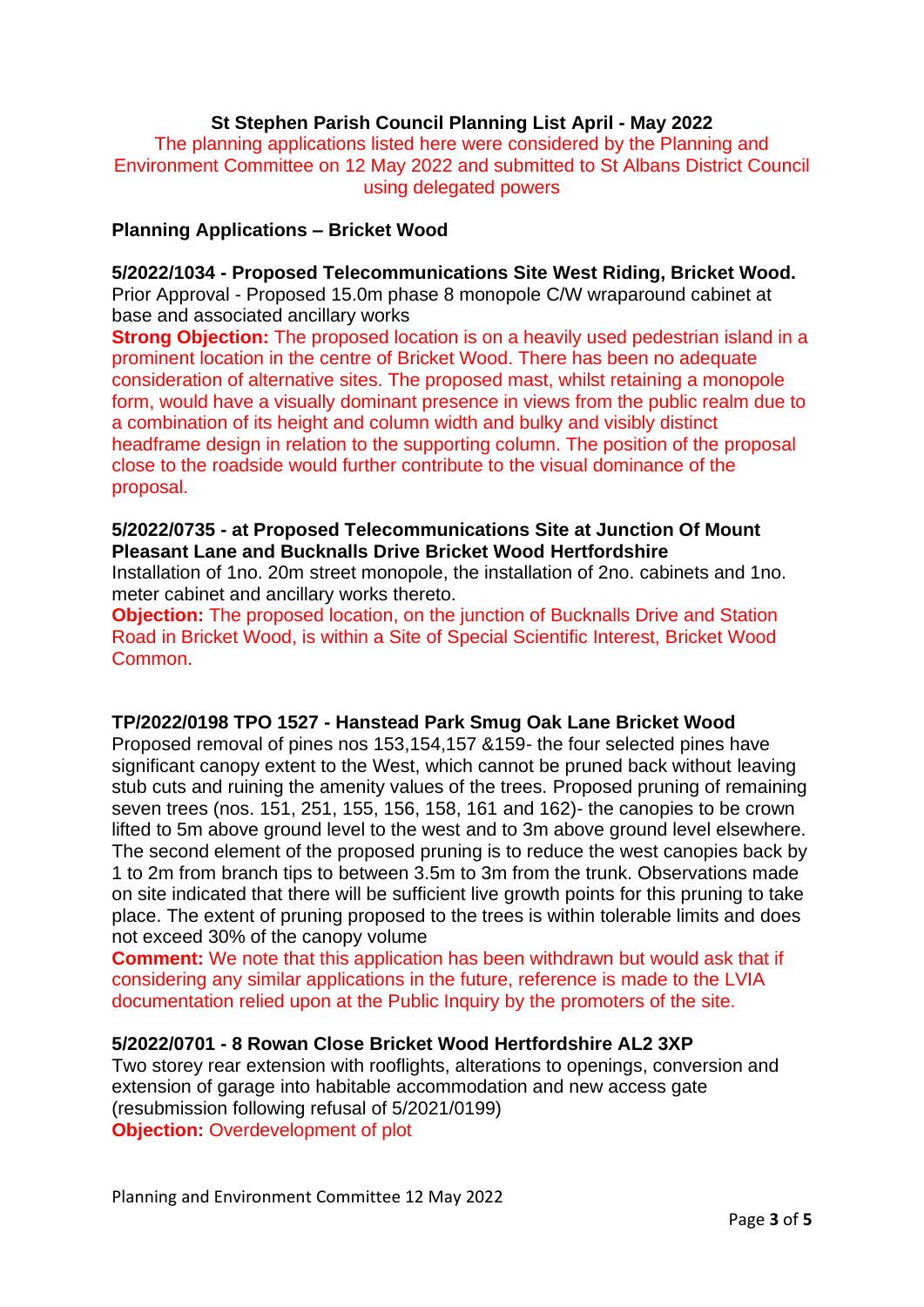# **St Stephen Parish Council Planning List April - May 2022**

The planning applications listed here were considered by the Planning and Environment Committee on 12 May 2022 and submitted to St Albans District Council using delegated powers

## **Planning Applications – Bricket Wood**

**5/2022/1034 - Proposed Telecommunications Site West Riding, Bricket Wood.**  Prior Approval - Proposed 15.0m phase 8 monopole C/W wraparound cabinet at base and associated ancillary works

**Strong Objection:** The proposed location is on a heavily used pedestrian island in a prominent location in the centre of Bricket Wood. There has been no adequate consideration of alternative sites. The proposed mast, whilst retaining a monopole form, would have a visually dominant presence in views from the public realm due to a combination of its height and column width and bulky and visibly distinct headframe design in relation to the supporting column. The position of the proposal close to the roadside would further contribute to the visual dominance of the proposal.

# **5/2022/0735 - at Proposed Telecommunications Site at Junction Of Mount Pleasant Lane and Bucknalls Drive Bricket Wood Hertfordshire**

Installation of 1no. 20m street monopole, the installation of 2no. cabinets and 1no. meter cabinet and ancillary works thereto.

**Objection:** The proposed location, on the junction of Bucknalls Drive and Station Road in Bricket Wood, is within a Site of Special Scientific Interest, Bricket Wood Common.

## **TP/2022/0198 TPO 1527 - Hanstead Park Smug Oak Lane Bricket Wood**

Proposed removal of pines nos 153,154,157 &159- the four selected pines have significant canopy extent to the West, which cannot be pruned back without leaving stub cuts and ruining the amenity values of the trees. Proposed pruning of remaining seven trees (nos. 151, 251, 155, 156, 158, 161 and 162)- the canopies to be crown lifted to 5m above ground level to the west and to 3m above ground level elsewhere. The second element of the proposed pruning is to reduce the west canopies back by 1 to 2m from branch tips to between 3.5m to 3m from the trunk. Observations made on site indicated that there will be sufficient live growth points for this pruning to take place. The extent of pruning proposed to the trees is within tolerable limits and does not exceed 30% of the canopy volume

**Comment:** We note that this application has been withdrawn but would ask that if considering any similar applications in the future, reference is made to the LVIA documentation relied upon at the Public Inquiry by the promoters of the site.

# **5/2022/0701 - 8 Rowan Close Bricket Wood Hertfordshire AL2 3XP**

Two storey rear extension with rooflights, alterations to openings, conversion and extension of garage into habitable accommodation and new access gate (resubmission following refusal of 5/2021/0199) **Objection:** Overdevelopment of plot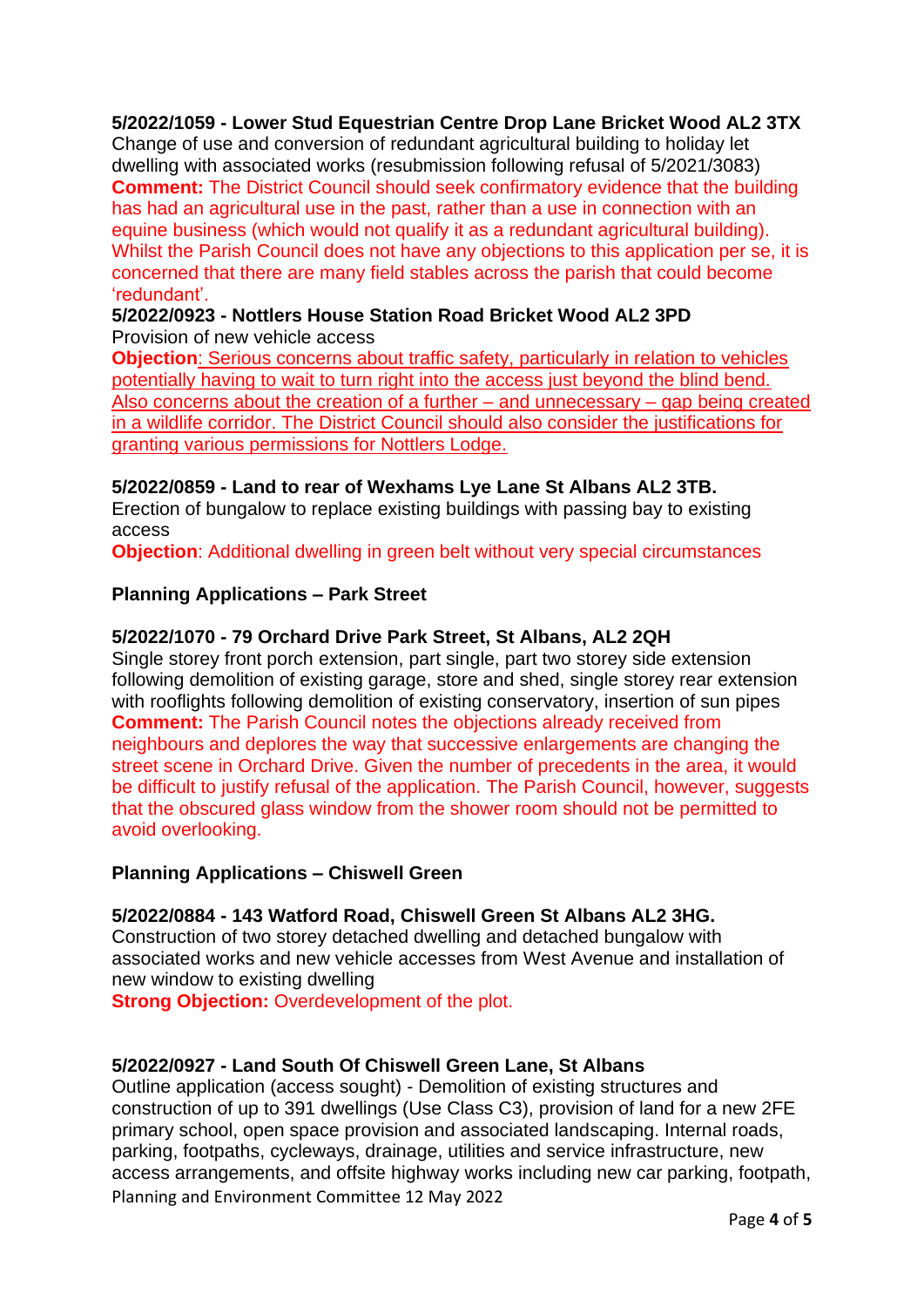# **5/2022/1059 - Lower Stud Equestrian Centre Drop Lane Bricket Wood AL2 3TX**

Change of use and conversion of redundant agricultural building to holiday let dwelling with associated works (resubmission following refusal of 5/2021/3083) **Comment:** The District Council should seek confirmatory evidence that the building has had an agricultural use in the past, rather than a use in connection with an equine business (which would not qualify it as a redundant agricultural building). Whilst the Parish Council does not have any objections to this application per se, it is concerned that there are many field stables across the parish that could become 'redundant'.

# **5/2022/0923 - Nottlers House Station Road Bricket Wood AL2 3PD** Provision of new vehicle access

**Objection**: Serious concerns about traffic safety, particularly in relation to vehicles potentially having to wait to turn right into the access just beyond the blind bend. Also concerns about the creation of a further – and unnecessary – gap being created in a wildlife corridor. The District Council should also consider the justifications for granting various permissions for Nottlers Lodge.

# **5/2022/0859 - Land to rear of Wexhams Lye Lane St Albans AL2 3TB.**

Erection of bungalow to replace existing buildings with passing bay to existing access

**Objection:** Additional dwelling in green belt without very special circumstances

## **Planning Applications – Park Street**

## **5/2022/1070 - 79 Orchard Drive Park Street, St Albans, AL2 2QH**

Single storey front porch extension, part single, part two storey side extension following demolition of existing garage, store and shed, single storey rear extension with rooflights following demolition of existing conservatory, insertion of sun pipes **Comment:** The Parish Council notes the objections already received from neighbours and deplores the way that successive enlargements are changing the street scene in Orchard Drive. Given the number of precedents in the area, it would be difficult to justify refusal of the application. The Parish Council, however, suggests that the obscured glass window from the shower room should not be permitted to avoid overlooking.

## **Planning Applications – Chiswell Green**

# **5/2022/0884 - 143 Watford Road, Chiswell Green St Albans AL2 3HG.**

Construction of two storey detached dwelling and detached bungalow with associated works and new vehicle accesses from West Avenue and installation of new window to existing dwelling

**Strong Objection:** Overdevelopment of the plot.

# **5/2022/0927 - Land South Of Chiswell Green Lane, St Albans**

Planning and Environment Committee 12 May 2022 Outline application (access sought) - Demolition of existing structures and construction of up to 391 dwellings (Use Class C3), provision of land for a new 2FE primary school, open space provision and associated landscaping. Internal roads, parking, footpaths, cycleways, drainage, utilities and service infrastructure, new access arrangements, and offsite highway works including new car parking, footpath,